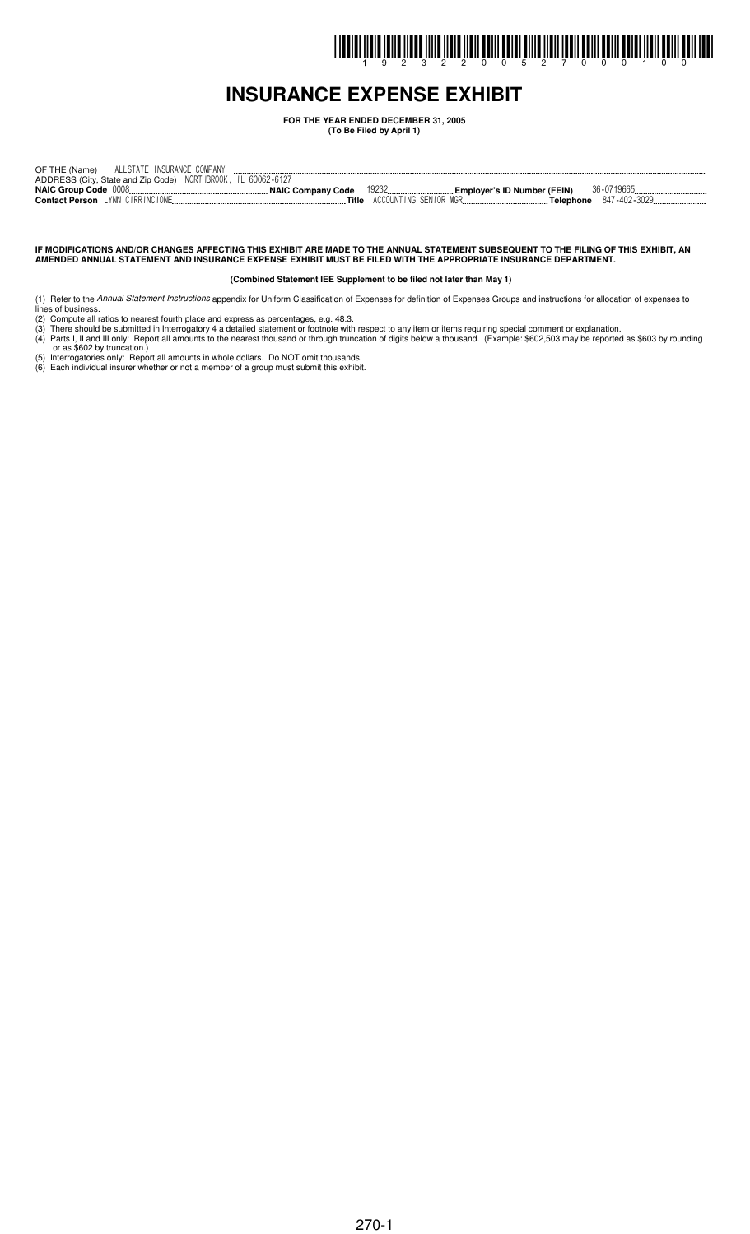# I INDIRI İLDIR İZILDÜ İLDIR İLILDÜ DILI ÖRILI ÖLLET ÖLLET ÖLELI İLDIL ÖLLIL ÖLLIL ÖLLET İLDIL ÖLLIL ÖLLI ISDI

### **INSURANCE EXPENSE EXHIBIT**

**FOR THE YEAR ENDED DECEMBER 31, 2005**

**(To Be Filed by April 1)**

| ALLSTATE INSURANCE COMPANY<br>OF THE (Name)                  |                     |                                      |                           |
|--------------------------------------------------------------|---------------------|--------------------------------------|---------------------------|
| ADDRESS (City, State and Zip Code) NORTHBROOK, IL 60062-6127 |                     |                                      |                           |
| NAIC Group Code 0008.                                        | . NAIC Company Code | 19232<br>Emplover's ID Number (FEIN) | 36-0719665                |
| <b>Contact Person</b> LYNN CIRRINCIONE                       | Title               | ACCOUNTING SENIOR MGR                | 847-402-3029<br>Telephone |

IF MODIFICATIONS AND/OR CHANGES AFFECTING THIS EXHIBIT ARE MADE TO THE ANNUAL STATEMENT SUBSEQUENT TO THE FILING OF THIS EXHIBIT, AN **AMENDED ANNUAL STATEMENT AND INSURANCE EXPENSE EXHIBIT MUST BE FILED WITH THE APPROPRIATE INSURANCE DEPARTMENT.**

#### **(Combined Statement IEE Supplement to be filed not later than May 1)**

- (1) Refer to the *Annual Statement Instructions* appendix for Uniform Classification of Expenses for definition of Expenses Groups and instructions for allocation of expenses to
- lines of business. (2) Compute all ratios to nearest fourth place and express as percentages, e.g. 48.3.
- (3) There should be submitted in Interrogatory 4 a detailed statement or footnote with respect to any item or items requiring special comment or explanation.
- (4) Parts I, II and III only: Report all amounts to the nearest thousand or through truncation of digits below a thousand. (Example: \$602,503 may be reported as \$603 by rounding or as \$602 by truncation.)
- (5) Interrogatories only: Report all amounts in whole dollars. Do NOT omit thousands. (6) Each individual insurer whether or not a member of a group must submit this exhibit.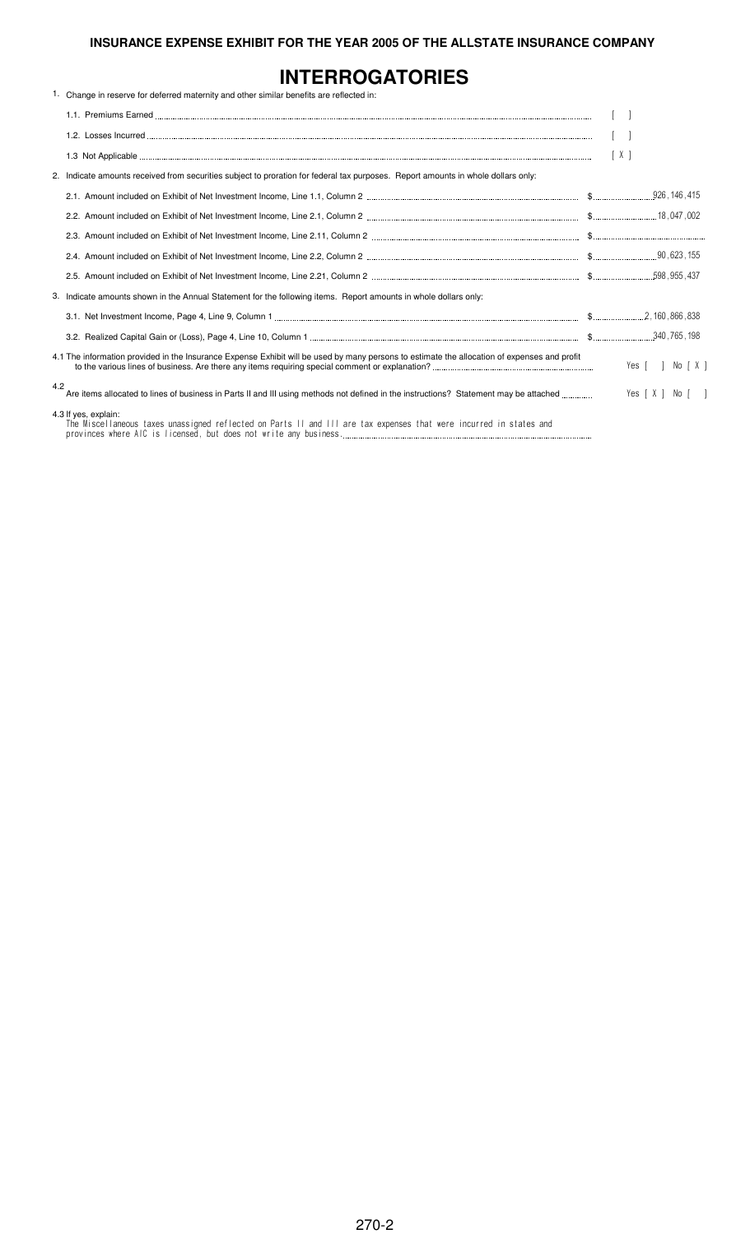## **INTERROGATORIES**

|     | 1. Change in reserve for deferred maternity and other similar benefits are reflected in:                                                     |                  |
|-----|----------------------------------------------------------------------------------------------------------------------------------------------|------------------|
|     |                                                                                                                                              |                  |
|     |                                                                                                                                              |                  |
|     |                                                                                                                                              | [X]              |
|     | 2. Indicate amounts received from securities subject to proration for federal tax purposes. Report amounts in whole dollars only:            |                  |
|     |                                                                                                                                              |                  |
|     |                                                                                                                                              |                  |
|     |                                                                                                                                              |                  |
|     |                                                                                                                                              |                  |
|     |                                                                                                                                              |                  |
|     | 3. Indicate amounts shown in the Annual Statement for the following items. Report amounts in whole dollars only:                             |                  |
|     |                                                                                                                                              |                  |
|     |                                                                                                                                              |                  |
|     | 4.1 The information provided in the Insurance Expense Exhibit will be used by many persons to estimate the allocation of expenses and profit | Yes [ ] No [ X ] |
| 4.2 | Are items allocated to lines of business in Parts II and III using methods not defined in the instructions? Statement may be attached        | Yes [X ] No [ ]  |
|     | 4.3 If yes, explain:<br>The Miscellaneous taxes unassigned reflected on Parts II and III are tax expenses that were incurred in states and   |                  |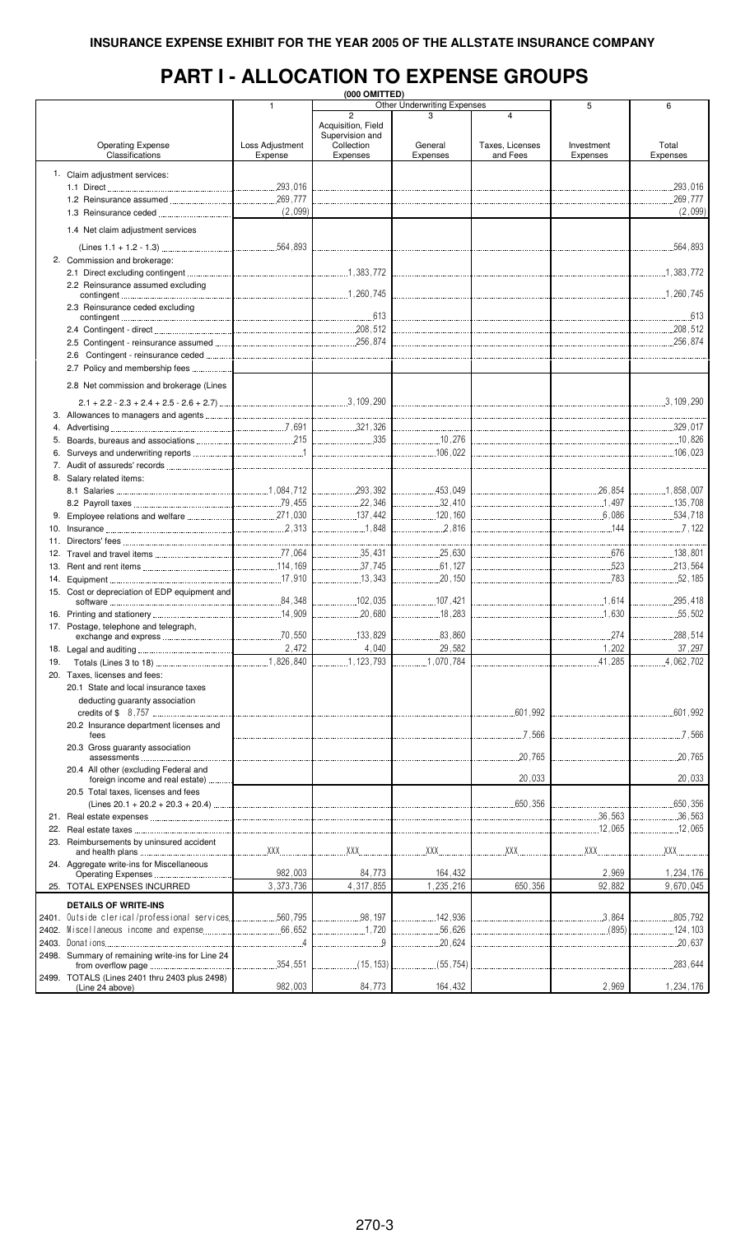### **PART I - ALLOCATION TO EXPENSE GROUPS**

|     |                                                     |                 | (000 OMITTED)      |                                    |                 |            |               |
|-----|-----------------------------------------------------|-----------------|--------------------|------------------------------------|-----------------|------------|---------------|
|     |                                                     | $\mathbf{1}$    |                    | <b>Other Underwriting Expenses</b> |                 | 5          | 6             |
|     |                                                     |                 | $\overline{c}$     | 3                                  | $\overline{4}$  |            |               |
|     |                                                     |                 | Acquisition, Field |                                    |                 |            |               |
|     |                                                     |                 | Supervision and    |                                    |                 |            |               |
|     | <b>Operating Expense</b>                            | Loss Adjustment | Collection         | General                            | Taxes, Licenses | Investment | Total         |
|     | Classifications                                     | Expense         | Expenses           | Expenses                           | and Fees        | Expenses   | Expenses      |
|     |                                                     |                 |                    |                                    |                 |            |               |
|     | 1. Claim adjustment services:                       |                 |                    |                                    |                 |            |               |
|     |                                                     |                 |                    |                                    |                 |            | 293,016       |
|     |                                                     |                 |                    |                                    |                 |            |               |
|     |                                                     |                 |                    |                                    |                 |            | .269,777      |
|     |                                                     | (2,099)         |                    |                                    |                 |            | (2,099)       |
|     |                                                     |                 |                    |                                    |                 |            |               |
|     | 1.4 Net claim adjustment services                   |                 |                    |                                    |                 |            |               |
|     |                                                     |                 |                    |                                    |                 |            |               |
|     |                                                     |                 |                    |                                    |                 |            |               |
|     | 2. Commission and brokerage:                        |                 |                    |                                    |                 |            |               |
|     |                                                     |                 |                    |                                    |                 |            |               |
|     | 2.2 Reinsurance assumed excluding                   |                 |                    |                                    |                 |            |               |
|     |                                                     |                 |                    |                                    |                 |            |               |
|     | 2.3 Reinsurance ceded excluding                     |                 |                    |                                    |                 |            |               |
|     |                                                     |                 |                    |                                    |                 |            |               |
|     |                                                     |                 |                    |                                    |                 |            |               |
|     |                                                     |                 |                    |                                    |                 |            |               |
|     |                                                     |                 |                    |                                    |                 |            |               |
|     |                                                     |                 |                    |                                    |                 |            |               |
|     |                                                     |                 |                    |                                    |                 |            |               |
|     | 2.7 Policy and membership fees                      |                 |                    |                                    |                 |            |               |
|     |                                                     |                 |                    |                                    |                 |            |               |
|     | 2.8 Net commission and brokerage (Lines             |                 |                    |                                    |                 |            |               |
|     |                                                     |                 |                    |                                    |                 |            |               |
|     |                                                     |                 |                    |                                    |                 |            |               |
|     |                                                     |                 |                    |                                    |                 |            |               |
| 4.  |                                                     |                 |                    |                                    |                 |            |               |
|     |                                                     |                 |                    |                                    |                 |            |               |
|     |                                                     |                 |                    |                                    |                 |            |               |
|     |                                                     |                 |                    |                                    |                 |            |               |
|     |                                                     |                 |                    |                                    |                 |            |               |
|     | 8. Salary related items:                            |                 |                    |                                    |                 |            |               |
|     |                                                     |                 |                    |                                    |                 |            |               |
|     |                                                     |                 |                    |                                    |                 |            |               |
|     |                                                     |                 |                    |                                    |                 |            |               |
|     |                                                     |                 |                    |                                    |                 |            |               |
|     |                                                     |                 |                    | 2,816                              |                 |            | 1.122         |
|     |                                                     |                 |                    |                                    |                 |            |               |
|     |                                                     |                 |                    |                                    |                 |            |               |
|     |                                                     |                 |                    | 25,630                             |                 |            | 138,801       |
|     |                                                     |                 | 1. 37,745          |                                    |                 |            | 213,564       |
|     |                                                     |                 | 13,343             |                                    |                 |            |               |
|     |                                                     |                 |                    |                                    |                 |            |               |
|     | 15. Cost or depreciation of EDP equipment and       |                 |                    | 107,421                            |                 |            |               |
|     |                                                     |                 |                    |                                    |                 |            |               |
|     |                                                     |                 |                    |                                    |                 |            |               |
|     | 17. Postage, telephone and telegraph,               |                 |                    |                                    |                 |            |               |
|     |                                                     |                 |                    |                                    |                 |            | .288,514<br>. |
|     |                                                     | 2,472           | 4,040              | 29,582                             |                 | 1,202      | 37,297        |
|     |                                                     |                 |                    |                                    |                 |            |               |
| 19. |                                                     |                 | 1, 123, 793        | 1,070,784                          |                 | .41,285    | .4,062,702    |
|     | 20. Taxes, licenses and fees:                       |                 |                    |                                    |                 |            |               |
|     | 20.1 State and local insurance taxes                |                 |                    |                                    |                 |            |               |
|     |                                                     |                 |                    |                                    |                 |            |               |
|     | deducting guaranty association                      |                 |                    |                                    |                 |            |               |
|     |                                                     |                 |                    |                                    | .601,992        |            | .601,992      |
|     | 20.2 Insurance department licenses and              |                 |                    |                                    |                 |            |               |
|     | fees                                                |                 |                    |                                    | 7,566           |            | 7,566         |
|     | 20.3 Gross quaranty association                     |                 |                    |                                    |                 |            |               |
|     |                                                     |                 |                    |                                    | .20,765         |            | .20,765       |
|     |                                                     |                 |                    |                                    |                 |            |               |
|     | 20.4 All other (excluding Federal and               |                 |                    |                                    |                 |            |               |
|     | foreign income and real estate)                     |                 |                    |                                    | 20,033          |            | 20,033        |
|     | 20.5 Total taxes, licenses and fees                 |                 |                    |                                    |                 |            |               |
|     |                                                     |                 |                    |                                    | 650,356         |            | .650,356      |
|     |                                                     |                 |                    |                                    |                 | .36,563    | .36,563       |
|     |                                                     |                 |                    |                                    |                 |            |               |
| 22. |                                                     |                 |                    |                                    |                 | 12,065     | 12,065        |
|     | 23. Reimbursements by uninsured accident            |                 |                    |                                    |                 |            |               |
|     |                                                     | XXX             | XXX<br>.           | XX                                 |                 | XXX        | XXX           |
|     | 24. Aggregate write-ins for Miscellaneous           |                 |                    |                                    |                 |            |               |
|     |                                                     | 982,003         | 84,773             | 164,432                            |                 | 2,969      | 1,234,176     |
|     | 25. TOTAL EXPENSES INCURRED                         | 3,373,736       | 4,317,855          | 1,235,216                          | 650,356         | 92,882     | 9,670,045     |
|     |                                                     |                 |                    |                                    |                 |            |               |
|     | <b>DETAILS OF WRITE-INS</b>                         |                 |                    |                                    |                 |            |               |
|     |                                                     |                 |                    |                                    |                 |            |               |
|     | 2401. Outside clerical/professional services560,795 |                 | 98,197             | .142,936                           |                 | .3.864     | .805,792      |
|     |                                                     |                 | 1.720              | .56,626                            |                 | (895)      | .124, 103     |
|     |                                                     |                 | . 9                | .20,624                            |                 |            | 20,637        |
|     | 2498. Summary of remaining write-ins for Line 24    |                 |                    |                                    |                 |            |               |
|     |                                                     | 354,551         | (15, 153)          | (55, 754)                          |                 |            | .283,644      |
|     |                                                     | .               |                    |                                    |                 |            |               |
|     | 2499. TOTALS (Lines 2401 thru 2403 plus 2498)       |                 |                    |                                    |                 |            |               |
|     | (Line 24 above)                                     | 982,003         | 84,773             | 164,432                            |                 | 2,969      | 1,234,176     |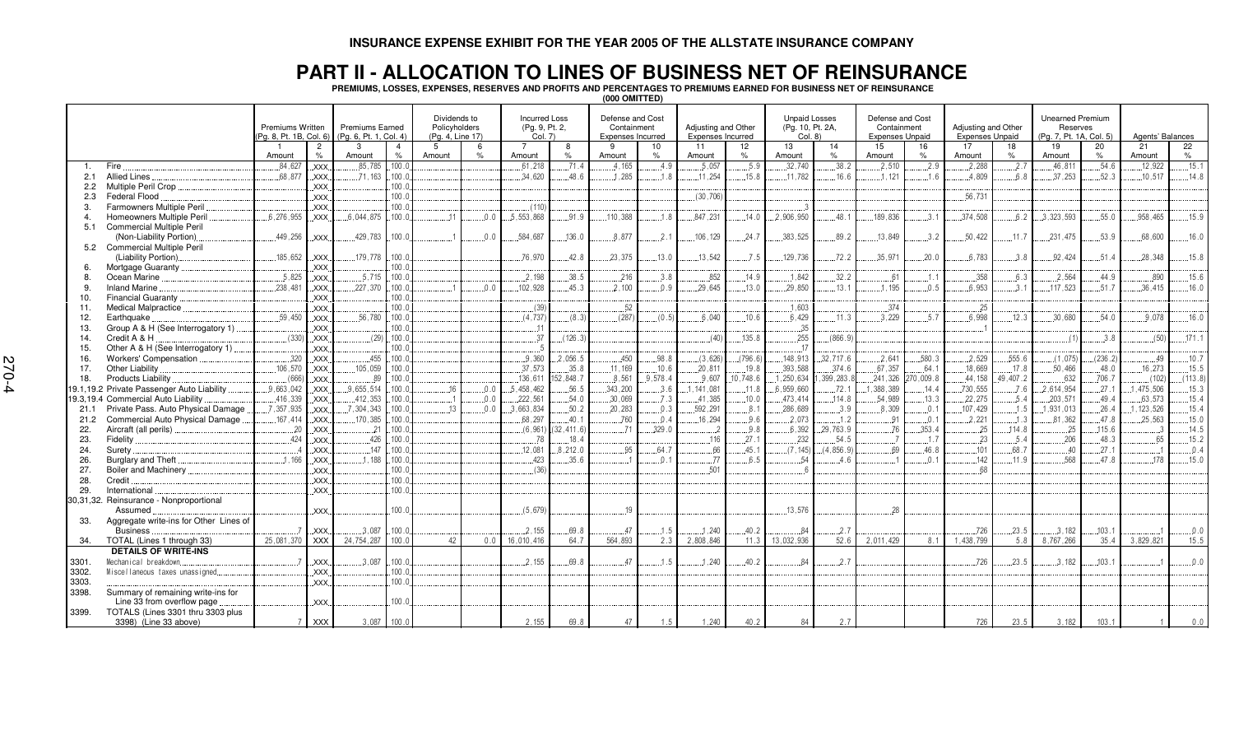#### **PART II - ALLOCATION TO LINES OF BUSINESS NET OF REINSURANCE**

PREMIUMS, LOSSES, EXPENSES, RESERVES AND PROFITS AND PERCENTAGES TO PREMIUMS EARNED FOR BUSINESS NET OF REINSURANCE

**(000 OMITTED)**

|       |                                            | <b>Premiums Written</b><br>Pa. 8. Pt. 1B. Col. 6) |                                              | <b>Premiums Earned</b><br>(Pa. 6. Pt. 1. Col. 4) |                                 | Dividends to<br>Policyholders<br>(Pa. 4. Line 17) |                | <b>Incurred Loss</b><br>(Pg. 9, Pt. 2,<br>Col. 7) |               | Defense and Cost<br>Containment<br><b>Expenses Incurred</b> |            | Adjusting and Other<br><b>Expenses Incurred</b> |                      | <b>Unpaid Losses</b><br>(Pg. 10, Pt. 2A,<br>Col. 8 |              | Defense and Cost<br>Containment<br><b>Expenses Unpaid</b> |          | <b>Adjusting and Other</b><br><b>Expenses Unpaid</b> |              | <b>Unearned Premium</b><br>Reserves<br>(Pg. 7, Pt. 1A, Col. 5) |            | Agents' Balances |             |
|-------|--------------------------------------------|---------------------------------------------------|----------------------------------------------|--------------------------------------------------|---------------------------------|---------------------------------------------------|----------------|---------------------------------------------------|---------------|-------------------------------------------------------------|------------|-------------------------------------------------|----------------------|----------------------------------------------------|--------------|-----------------------------------------------------------|----------|------------------------------------------------------|--------------|----------------------------------------------------------------|------------|------------------|-------------|
|       |                                            | Amount                                            | $\overline{c}$<br>$\%$                       | 3<br>Amount                                      | $\overline{4}$<br>$\frac{6}{6}$ | $5^{\circ}$<br>Amount                             | 6<br>%         | Amount                                            | 8<br>$\%$     | -9<br>Amount                                                | 10<br>$\%$ | 11<br>Amount                                    | 12 <sup>2</sup><br>% | 13<br>Amount                                       | 14<br>%      | 15<br>Amount                                              | 16<br>%  | 17<br>Amount                                         | 18<br>$\%$   | 19<br>Amount                                                   | 20<br>$\%$ | 21<br>Amount     | 22<br>$\%$  |
|       | Fire                                       | .84,627                                           | .xxx                                         | .85.785                                          | .100.0                          |                                                   |                | .61,218                                           | .71.4         | .4.165                                                      | .4.9       | .5.057                                          | .5.9                 | .32,740                                            | .38.2        | .2,510                                                    | .2.9     | .2,288                                               | .2.7         | .46, 81'                                                       | .54.6      | .12.922          | .15.1       |
| 2.1   | <b>Allied Lines</b>                        | .68.877                                           | XXX.                                         | .71.163                                          | .100.0                          |                                                   |                | .34,620                                           | 48.6          | .1.285                                                      | 1.8        | .11.254                                         | .15.8                | .11.782                                            | 16.6         | .1.121                                                    | 1.6      | 4.809                                                | 6.8          | 37.253                                                         | 52.3       | .10.517          | .14.8       |
| 2.2   | Multiple Peril Crop                        |                                                   | XXX.                                         |                                                  | 100.0                           |                                                   |                |                                                   |               |                                                             |            |                                                 |                      |                                                    |              |                                                           |          |                                                      |              |                                                                |            |                  |             |
| 2.3   | Federal Flood                              |                                                   | XXX                                          |                                                  | 100.                            |                                                   |                |                                                   |               |                                                             |            | (30, 706)                                       |                      |                                                    |              |                                                           |          | .56.731                                              |              |                                                                |            |                  |             |
| 3     | <b>Farmowners Multiple Peril</b>           |                                                   | .xxx                                         |                                                  | 100.0                           |                                                   |                | (110)                                             |               |                                                             |            |                                                 |                      |                                                    |              |                                                           |          |                                                      |              |                                                                |            |                  |             |
| 4     | <b>Homeowners Multiple Peril</b>           | .6.276.955                                        | <b>XXX</b>                                   | .6.044.875                                       | 100.0                           | $\cdot$ <sup>1</sup>                              | 0.0            | .5.553.868                                        | 91.9          | 110,388                                                     | 1.8        | .847,231                                        | 14.0                 | .2.906.950                                         | 48.1         | 189,836                                                   | 3.1      | .374,508                                             | 6.2          | .3.323.593                                                     | .55.0      | 958.465          | .15.9       |
| 5.1   | <b>Commercial Multiple Peril</b>           |                                                   |                                              |                                                  |                                 |                                                   |                |                                                   |               |                                                             |            |                                                 |                      |                                                    |              |                                                           |          |                                                      |              |                                                                |            |                  |             |
|       | (Non-Liability Portion)                    | .449,256                                          | XXX.                                         | .429,783                                         | 100.0                           |                                                   | 0.0            | .584,687                                          | .136.0        | .8.877                                                      | .2.1       | 106, 129                                        | .24.7                | .383,525                                           | .89.2        | .13,849                                                   | 3.2      | .50,422                                              | .11.7        | .231,475                                                       | 53.9       | .68.600          | .16.0       |
|       | 5.2 Commercial Multiple Peril              |                                                   |                                              |                                                  |                                 |                                                   |                |                                                   |               |                                                             |            |                                                 |                      |                                                    |              |                                                           |          |                                                      |              |                                                                |            |                  |             |
|       | (Liability Portion)                        | 185,652                                           | <b>XXX</b>                                   | .179,778                                         | 100.0                           |                                                   |                | .76.970                                           | .42.8         | 23,375                                                      | .13.0      | 13,542                                          | .7.5                 | 129,736                                            | .72.2        | .35,971                                                   | .20.0    | .6.783                                               | 3.8          | .92,424                                                        | 51.4       | .28,348          | .15.8       |
| 6.    | Mortgage Guaranty                          |                                                   | XXX.                                         |                                                  | 100.                            |                                                   |                |                                                   |               |                                                             |            |                                                 |                      |                                                    |              |                                                           |          |                                                      |              |                                                                |            |                  |             |
| 8.    | Ocean Marine                               | 5,825                                             | $\overline{X}$ $\overline{X}$ $\overline{X}$ | .5.715                                           | 100.0                           |                                                   |                | .2.198                                            | .38.5         | .216                                                        | 3.8        | 852                                             | .14.9                | .1,842                                             | .32.2        | .61                                                       | .1.1     | .358                                                 | .6.3         | .2,564                                                         | 44.9       | .890             | .15.6       |
| 9.    | <b>Inland Marine</b>                       | .238.481                                          | .XXX                                         | .227,370                                         | 100.                            |                                                   | 0 <sub>0</sub> | .102,928                                          | 45.3          | .2.100                                                      | 0.9        | 29.645                                          | .13.0                | 29.850                                             | 13.1         | 1.195                                                     | 0.5      | .6.953                                               | .3.1         | 117.523                                                        | .51.7      | .36.415          | .16.0       |
| 10.   | Financial Guaranty.                        |                                                   | XXX.                                         |                                                  | 100.0                           |                                                   |                |                                                   |               |                                                             |            |                                                 |                      |                                                    |              |                                                           |          |                                                      |              |                                                                |            |                  |             |
| 11.   | Medical Malpractice.                       |                                                   | <b>XXX</b>                                   |                                                  | .100.0                          |                                                   |                | (39)                                              |               | .52                                                         |            |                                                 |                      | .1.603                                             |              | .374                                                      |          | .25                                                  |              |                                                                |            |                  |             |
| 12.   | Earthquake                                 | .59,450                                           | <b>XXX</b>                                   | .56,780                                          | 100.0                           |                                                   |                | (4.737)                                           | (8.3)         | (287)                                                       | (0.5)      | 6.040                                           | .10.6                | 6.429                                              | .11.3        | 3.229                                                     | .5.7     | .6.998                                               | .12.3        | .30,680                                                        | .54.0      | .9.078           | .16.0       |
| 13.   | Group A & H (See Interrogatory 1)          |                                                   | .xxx                                         |                                                  | 100.0                           |                                                   |                | .11                                               |               |                                                             |            |                                                 |                      | .35                                                |              |                                                           |          |                                                      |              |                                                                |            |                  |             |
| 14.   | Credit A & H                               | (330)                                             | XXX.                                         | (29)                                             | .100.0                          |                                                   |                | .37                                               | (126.3)       |                                                             |            | (40)                                            | .135.8               | 255                                                | (866.9)      |                                                           |          |                                                      |              | (1)                                                            | 3.8        | (50)             | .171.1      |
| 15.   | Other A & H (See Interrogatory 1)          |                                                   | <b>XXX</b>                                   |                                                  | 100.0                           |                                                   |                |                                                   |               |                                                             |            |                                                 |                      | $\lceil$ 1                                         |              |                                                           |          |                                                      |              |                                                                |            |                  |             |
| 16.   | Workers' Compensation                      | .320                                              | <b>XXX</b>                                   | 455                                              | 100.                            |                                                   |                | .9.360                                            | .2.056.5      | 450                                                         | 98.8       | (3,626)                                         | (796.6)              | .148.913                                           | .32,717.6    | .2.641                                                    | .580.3   | .2.529                                               | .555.6       | (1,075)                                                        | (236.2)    | .49              | .10.7       |
| 17.   | Other Liability                            | .106,570                                          | XXX                                          | .105,059                                         | 100.0                           |                                                   |                | .37,573                                           | .35.8         | .11,169                                                     | .10.6      | .20.811                                         | .19.8                | .393,588                                           | .374.6       | .67,357                                                   | .64.1    | .18,669                                              | .17.8        | .50,466                                                        | .48.0      | .16,273          | 15.5        |
| 18.   | Products Liability.                        | .(666                                             | $\overline{X}$ $\overline{X}$ $\overline{X}$ | .89                                              | 100.0                           |                                                   |                | .136,611                                          | 152,848.7     | .8,561                                                      | 9.578.4    | 9.607                                           | 10,748.6             | 1,250,634                                          | , 399, 283.  | .241,326                                                  | 70,009.8 | .44,158                                              | .49,407.2    | .632                                                           | .706.7     | (102)            | (113.8)     |
|       | 19.1,19.2 Private Passenger Auto Liability | 9.663.042                                         | XXX.                                         | 9.655.514                                        | 100.0                           | 16                                                | 0.0            | .5,458,462                                        | .56.5         | 343,200                                                     | 3.6        | .141.081                                        | .11.8                | 6.959.660                                          | .72.1        | 1,388,389                                                 | .14.4    | .730.555                                             | 7.6          | 2.614.954                                                      | .27.1      | .475.506         | 15.3        |
|       | 19.3,19.4 Commercial Auto Liability        | .416,339                                          | <b>XXX</b>                                   | .412,353                                         | 100.0                           |                                                   | 0.0            | .222,561                                          | .54.0         | .30,069                                                     | .7.3       | .41,385                                         | .10.0                | 473,414                                            | .114.8       | .54,989                                                   | .13.3    | .22,275                                              | .5.4         | .203,571                                                       | .49.4      | .63.573          | .15.4       |
| 21.1  | Private Pass. Auto Physical Damage         | 7,357,935                                         | .xxx                                         | .7, 304, 343                                     | 100.0                           | .13                                               | .0.0           | .3,663,834                                        | .50.2         | 20,283                                                      | .0.3       | .592, 291                                       | .8.1                 | .286,689                                           | .3.9         | 8,309                                                     | .0.1     | .107,429                                             | .1.5         | .1,931,013                                                     | .26.4      | .123.526         | .15.4       |
| 21.2  | Commercial Auto Physical Damage            | .167,414                                          | <b>XXX</b>                                   | 170,385                                          | 100.0                           |                                                   |                | .68,297                                           | .40.1         | 760                                                         | .0.4       | .16,294                                         | .9.6                 | .2.073                                             | .1.2         | .91                                                       | .0.1     | .2.221                                               | .1.3         | .81,362                                                        | .47.8      | .25,563          | .15.0       |
| 22.   | Aircraft (all perils)                      | .20                                               | <b>XXX</b>                                   | $\cdot$ <sup>2</sup>                             | 100.0                           |                                                   |                | (6, 961)                                          | 32,411.6      | . 71                                                        | .329.0     | $\dots$ 2                                       | .9.8                 | 6.392                                              | .29,763.9    | 76                                                        | .353.4   | .25                                                  | .114.8       | 25                                                             | .115.6     |                  | 14.5        |
| 23.   | Fidelity                                   | .424                                              | <b>XXX</b>                                   | .426                                             | 100.0                           |                                                   |                | .78                                               | .18.4         |                                                             |            | 116                                             | .27.1                | 232                                                | .54.5        |                                                           | .1.7     | .23                                                  | .5.4         | .206                                                           | .48.3      | .65              | .15.2       |
| 24.   | Surety                                     |                                                   | XXX.                                         | 147                                              | 100.                            |                                                   |                | .12,081                                           | .8.212.0      | 95                                                          | 64.7       | .66                                             | .45.1                | (7.145)                                            | (4, 856.9)   | 69                                                        | .46.8    | 101                                                  | .68.7        | 40                                                             | .27.1      |                  | .0.4        |
| 26.   | Burglary and Theft                         | .1.166                                            |                                              | .1.188                                           | 100.0                           |                                                   |                | .423                                              | .35.6         |                                                             | 0.1        | .77                                             | 6.5                  | $5-$                                               | 4.6          |                                                           | 0.1      | 142                                                  | .11.9        | .568                                                           | 47.8       | 178              | .15.0       |
|       | Boiler and Machinery                       |                                                   | .XXX                                         |                                                  | 100.                            |                                                   |                |                                                   |               |                                                             |            | .501                                            |                      |                                                    |              |                                                           |          | 68                                                   |              |                                                                |            |                  |             |
| 27.   |                                            |                                                   | <b>XXX</b>                                   |                                                  | 100.0                           |                                                   |                | (36)                                              |               |                                                             |            |                                                 |                      |                                                    |              |                                                           |          |                                                      |              |                                                                |            |                  |             |
| 28.   | Credit<br>International                    |                                                   | .xxx.                                        |                                                  | 100.                            |                                                   |                |                                                   |               |                                                             |            |                                                 |                      |                                                    |              |                                                           |          |                                                      |              |                                                                |            |                  |             |
| 29.   | 30,31,32. Reinsurance - Nonproportional    |                                                   | .XXX                                         |                                                  |                                 |                                                   |                |                                                   |               |                                                             |            |                                                 |                      |                                                    |              |                                                           |          |                                                      |              |                                                                |            |                  |             |
|       |                                            |                                                   | <b>XXX</b>                                   |                                                  | 100.                            |                                                   |                | (5.679)                                           |               | 10                                                          |            |                                                 |                      | .13.576                                            |              | 28                                                        |          |                                                      |              |                                                                |            |                  |             |
|       | Assumed                                    |                                                   |                                              |                                                  |                                 |                                                   |                |                                                   |               |                                                             |            |                                                 |                      |                                                    |              |                                                           |          |                                                      |              |                                                                |            |                  |             |
| 33.   | Aggregate write-ins for Other Lines of     |                                                   |                                              |                                                  |                                 |                                                   |                |                                                   |               |                                                             |            |                                                 |                      |                                                    |              |                                                           |          |                                                      |              |                                                                | .103.1     |                  |             |
|       | <b>Business</b>                            | 25,081,370                                        | XXX.<br><b>XXX</b>                           | .3.087<br>24.754.287                             | 100.0<br>100.0                  | 42                                                | 0.0            | 2.155<br>16,010,416                               | .69.8<br>64.7 | 47<br>564.893                                               | .1.5       | .1,240<br>2.808.846                             | 40.2                 | 84<br>13.032.936                                   | .2.7<br>52.6 | 2,011,429                                                 | 8.1      | .726<br>.438.799                                     | .23.5<br>5.8 | 3.182<br>8,767,266                                             | 35.4       | 3,829,821        | 0.0<br>15.5 |
| 34.   | TOTAL (Lines 1 through 33)                 |                                                   |                                              |                                                  |                                 |                                                   |                |                                                   |               |                                                             | 2.3        |                                                 | 11.3                 |                                                    |              |                                                           |          |                                                      |              |                                                                |            |                  |             |
|       | <b>DETAILS OF WRITE-INS</b>                |                                                   |                                              |                                                  |                                 |                                                   |                |                                                   |               |                                                             |            |                                                 |                      |                                                    |              |                                                           |          |                                                      |              |                                                                |            |                  |             |
| 3301. | Mechanical breakdown                       |                                                   | XXX.                                         | 3.08                                             | 100.0                           |                                                   |                | .2.155                                            | 69.8          | 47                                                          | 1.5        | 1,240                                           | 40.2                 | 84                                                 | 2.7          |                                                           |          | 726                                                  | .23.5        | 3,182                                                          | .103.1     |                  | 0.0         |
| 3302  | Miscellaneous taxes unassigned.            |                                                   | <b>XXX</b>                                   |                                                  | 100.                            |                                                   |                |                                                   |               |                                                             |            |                                                 |                      |                                                    |              |                                                           |          |                                                      |              |                                                                |            |                  |             |
| 3303  |                                            |                                                   | <b>XXX</b>                                   |                                                  | 100.                            |                                                   |                |                                                   |               |                                                             |            |                                                 |                      |                                                    |              |                                                           |          |                                                      |              |                                                                |            |                  |             |
| 3398. | Summary of remaining write-ins for         |                                                   |                                              |                                                  |                                 |                                                   |                |                                                   |               |                                                             |            |                                                 |                      |                                                    |              |                                                           |          |                                                      |              |                                                                |            |                  |             |
|       | Line 33 from overflow page                 |                                                   | XXX                                          |                                                  | 100.                            |                                                   |                |                                                   |               |                                                             |            |                                                 |                      |                                                    |              |                                                           |          |                                                      |              |                                                                |            |                  |             |
| 3399. | TOTALS (Lines 3301 thru 3303 plus          |                                                   |                                              |                                                  |                                 |                                                   |                |                                                   |               |                                                             |            |                                                 |                      |                                                    |              |                                                           |          |                                                      |              |                                                                |            |                  |             |
|       | 3398) (Line 33 above)                      | $\overline{7}$                                    | <b>XXX</b>                                   | 3.087                                            | 100.0                           |                                                   |                | 2.155                                             | 69.8          | 47                                                          | 1.5        | 1.240                                           | 40.2                 | 84                                                 | 2.7          |                                                           |          | 726                                                  | 23.5         | 3.182                                                          | 103.1      |                  | 0.0         |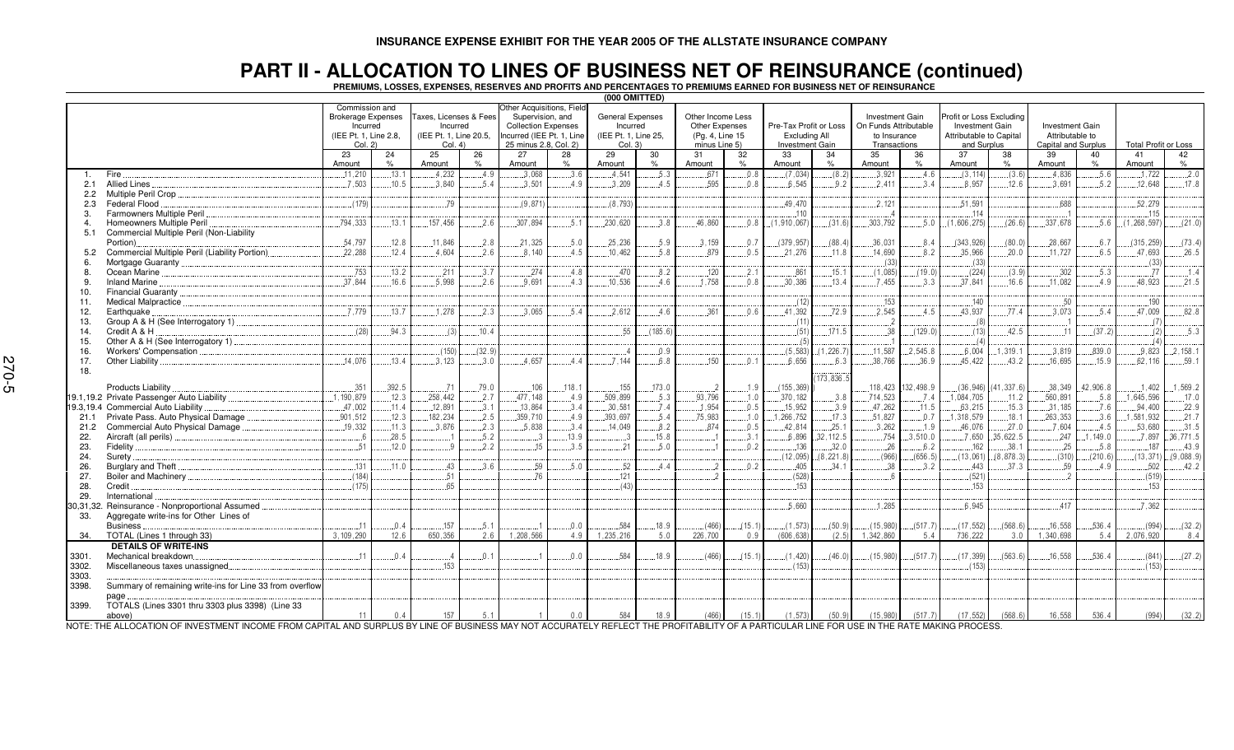## PART II – ALLOCATION TO LINES OF BUSINESS NET OF REINSURANCE (continued)<br>Premiums, losses, expenses, reserves and profits and percentages to premiums earned for business net of reinsurance

| (000 OMITTED) |                                                                                                                                  |                                                                                              |                |                 |                                                                                                                                                                                                   |           |                |                                                                        |               |                                                                         |             |                                         |                                                                          |                        |                                                                                              |                      |                                                                  |                      |                             |                 |                   |
|---------------|----------------------------------------------------------------------------------------------------------------------------------|----------------------------------------------------------------------------------------------|----------------|-----------------|---------------------------------------------------------------------------------------------------------------------------------------------------------------------------------------------------|-----------|----------------|------------------------------------------------------------------------|---------------|-------------------------------------------------------------------------|-------------|-----------------------------------------|--------------------------------------------------------------------------|------------------------|----------------------------------------------------------------------------------------------|----------------------|------------------------------------------------------------------|----------------------|-----------------------------|-----------------|-------------------|
|               |                                                                                                                                  | Commission and<br><b>Brokerage Expenses</b><br>Incurred<br>(IEE Pt. 1. Line 2.8.)<br>Col. 2) |                | Col. 4          | Other Acquisitions, Field<br>Supervision, and<br>Taxes, Licenses & Fees<br><b>Collection Expenses</b><br>Incurred<br>Incurred (IEE Pt. 1, Line<br>(IEE Pt. 1, Line 20.5,<br>25 minus 2.8, Col. 2) |           |                | <b>General Expenses</b><br>Incurred<br>(IEE Pt. 1, Line 25,<br>Col. 3) |               | Other Income Less<br>Other Expenses<br>(Pg. 4, Line 15<br>minus Line 5) |             | Pre-Tax Profit or Loss<br>Excluding All | Investment Gain<br>On Funds Attributable<br>to Insurance<br>Transactions |                        | Profit or Loss Excluding<br><b>Investment Gain</b><br>Attributable to Capital<br>and Surplus |                      | <b>Investment Gain</b><br>Attributable to<br>Capital and Surplus |                      | <b>Total Profit or Loss</b> |                 |                   |
|               |                                                                                                                                  | 23                                                                                           | 24             | 25              | 26                                                                                                                                                                                                | 27        | 28             | 29                                                                     | 30            | 31                                                                      | 32          | Investment Gain<br>33                   | 34                                                                       | 35                     | 36                                                                                           | $\overline{37}$      | 38                                                               | 39                   | 40                          | 41              | 42                |
|               |                                                                                                                                  | Amount                                                                                       | $\%$           | Amount          | $\%$                                                                                                                                                                                              | Amount    | %              | Amount                                                                 | $\%$          | Amount                                                                  | $\%$        | Amount                                  | $\%$                                                                     | Amount                 | $\%$                                                                                         | Amount               | $\%$                                                             | Amount               | $\%$                        | Amount          | $\%$              |
| 1.            | Fire.                                                                                                                            | .11,210                                                                                      | .13.1          | 4.232           | 4.9                                                                                                                                                                                               | .3.068    | .3.6           | .4.541                                                                 | .5.3          | .671                                                                    | .0.8        | (7.034)                                 | (8.2)                                                                    | .3.921                 | .4.6                                                                                         | (3, 114)             | (3.6)                                                            | .4.836               | .5.6                        | .1.722          | .2.0              |
| 2.1           | <b>Allied Lines</b>                                                                                                              | .7.503                                                                                       | .10.5          | .3.840          | 5.4                                                                                                                                                                                               | .3.501    | 4.9            | .3.209                                                                 | 4.5           | 595                                                                     | 0.8         | 6.545                                   | .9.2                                                                     | .2.411                 | 3.4                                                                                          | 8.957                | .12.6                                                            | .3.691               | .5.2                        | .12.648         | .17.8             |
| $2.2^{\circ}$ |                                                                                                                                  |                                                                                              |                |                 |                                                                                                                                                                                                   |           |                |                                                                        |               |                                                                         |             |                                         |                                                                          |                        |                                                                                              |                      |                                                                  |                      |                             |                 |                   |
| 2.3<br>3.     | Federal Flood<br>Farmowners Multiple Peril                                                                                       | (179)                                                                                        |                | 79              |                                                                                                                                                                                                   | (9,871)   |                | (8, 793)                                                               |               |                                                                         |             | .49,470<br>.110                         |                                                                          | .2.121                 |                                                                                              | .51,591<br>114       |                                                                  | .688                 |                             | .52,279<br>.115 |                   |
|               | Homeowners Multiple Peril                                                                                                        | .794.333                                                                                     | .13.1          | 157.456         | 2.6                                                                                                                                                                                               | .307.894  | 5.1            | 230,620                                                                | .3.8          | .46.860                                                                 | 0.8         | (1.910.067)                             | (31.6)                                                                   | .303.792               | 5.0                                                                                          | (1.606, 275)         | (26.6)                                                           | .337.678             | .5.6                        | (1, 268, 597)   | (21.0)            |
| 5.1           | Commercial Multiple Peril (Non-Liability                                                                                         |                                                                                              |                |                 |                                                                                                                                                                                                   |           |                |                                                                        |               |                                                                         |             |                                         |                                                                          |                        |                                                                                              |                      |                                                                  |                      |                             |                 |                   |
|               | Portion)                                                                                                                         | .54,797                                                                                      | .12.8          | .11.846         | .2.8                                                                                                                                                                                              | .21,325   | .5.0           | .25,236                                                                | .5.9          | .3.159                                                                  | .0.7        | (379.957)                               | (88.4)                                                                   | .36,031                | 8.4                                                                                          | (343, 926)           | (80.0)                                                           | .28,667              | .6.7                        | (315, 259)      | (73.4)            |
| 5.2           | Commercial Multiple Peril (Liability Portion)                                                                                    | 22.288                                                                                       | .12.4          | 4.604           | 2.6                                                                                                                                                                                               | .8.140    | 4.5            | .10.462                                                                | .5.8          | .879                                                                    | .0.5        | 21.276                                  | . 11.8                                                                   | 14.690                 | 8.2                                                                                          | .35,966              | .20.0                                                            | .11.727              | 6.5                         | .47,693         | 26.5              |
| 6             |                                                                                                                                  |                                                                                              |                |                 |                                                                                                                                                                                                   |           |                |                                                                        |               |                                                                         |             |                                         |                                                                          | (33)                   |                                                                                              | (33)                 |                                                                  |                      |                             | (33)            |                   |
| 8.            |                                                                                                                                  | .753                                                                                         | .13.2          | .211            | 3.7                                                                                                                                                                                               | .274      | .4.8           | .470                                                                   | 8.2           | .120                                                                    | 2.1         | .861                                    | .15.1                                                                    | (1,085)                | (19.0)                                                                                       | (224)                | (3.9)                                                            | .302                 | .5.3                        | .77             | .1.4              |
| 9.            | <b>Inland Marine</b><br>Financial Guaranty                                                                                       | 37.844                                                                                       | 16.6           | 5.998           | 2.6                                                                                                                                                                                               | 9.691     | 4.3            | 10,536                                                                 | 4.6           | 1,758                                                                   | 0.8         | 30,386                                  | .13.4                                                                    | 7.455                  | 3.3                                                                                          | 37,841               | 16.6                                                             | .11.082              | 4.9                         | 48,923          | .21.5             |
| 10.<br>11.    | Medical Malpractice <b>Mature of Acceptance Controllering</b> Medical Malpractice                                                |                                                                                              |                |                 |                                                                                                                                                                                                   |           |                |                                                                        |               |                                                                         |             | (12)                                    |                                                                          | .153                   |                                                                                              | 140                  |                                                                  | .50                  |                             | .190            |                   |
| 12.           | Earthquake.                                                                                                                      | .7.779                                                                                       | .13.7          | 1.278           | .2.3                                                                                                                                                                                              | .3.065    | .5.4           | .2,612                                                                 | .4.6          | .361                                                                    | .0.6        | 41,392                                  | .72.9                                                                    | .2.545                 | .4.5                                                                                         | .43,937              | .77.4                                                            | .3,073               | .5.4                        | .47,009         | .82.8             |
| 13.           | Group A & H (See Interrogatory 1)                                                                                                |                                                                                              |                |                 |                                                                                                                                                                                                   |           |                |                                                                        |               |                                                                         |             | (11)                                    |                                                                          | $\cdot$ 2              |                                                                                              | (8)                  |                                                                  |                      |                             | (7)             |                   |
| 14.           | Credit A & H                                                                                                                     | (28)                                                                                         | .94.3          | (3)             | .10.4                                                                                                                                                                                             |           |                | .55                                                                    | (185.6)       |                                                                         |             | (51)                                    | .171.5                                                                   | .38                    | (129.0)                                                                                      | (13)                 | .42.5                                                            | 11                   | (37.2)                      | (2)             | 5.3               |
| 15.           | Other A & H (See Interrogatory 1)                                                                                                |                                                                                              |                |                 |                                                                                                                                                                                                   |           |                |                                                                        |               |                                                                         |             | (5)                                     |                                                                          |                        |                                                                                              | (4)                  |                                                                  |                      |                             |                 |                   |
| 16.           | Workers' Compensation                                                                                                            |                                                                                              |                | (150)           | (32.9)                                                                                                                                                                                            |           |                |                                                                        | .0.9          |                                                                         |             | (5, 583)                                | (1, 226.7)                                                               | .11,587                | .2,545.8                                                                                     | .6,004               | .1,319.7                                                         | .3,819               | .839.0                      | .9.823          | .2, 158.1         |
| 17.           | Other Liability.                                                                                                                 | .14.076                                                                                      | .13.4          | 3.123           | .3.0                                                                                                                                                                                              | 4.657     | 4.4            | .7.144                                                                 | 6.8           | .150                                                                    | 0.1         | 6.656                                   | 6.3                                                                      | .38,766                | .36.9                                                                                        | 45.422               | .43.2                                                            | .16.695              | .15.9                       | .62.116         | .59.1             |
| 18.           |                                                                                                                                  |                                                                                              |                |                 |                                                                                                                                                                                                   |           |                |                                                                        |               |                                                                         |             |                                         | 173,836.                                                                 |                        |                                                                                              |                      |                                                                  |                      |                             |                 |                   |
|               | Products Liability                                                                                                               | .351                                                                                         | .392.5         | $\dots$ .71     | .79.0                                                                                                                                                                                             | .106      | .118.1         | .155                                                                   | .173.0        |                                                                         | .1.9        | (155, 369)                              |                                                                          |                        | 118,423 .132,498.9                                                                           | (36, 946)            | (41, 337.6)                                                      | .38,349              | .42,906.8                   | .1.402          | .1,569.2          |
|               |                                                                                                                                  | 1.190.879                                                                                    | .12.3          | .258,442        | .2.7                                                                                                                                                                                              | .477, 148 | .4.9           | .509,899                                                               | .5.3          | .93.796                                                                 | .1.0        | .370.182                                | .3.8                                                                     | 714,523                | .7.4                                                                                         | 1,084,705            | .11.2                                                            | .560,891             | .5.8                        | .1.645.596      | .17.0             |
|               | 19.3,19.4 Commercial Auto Liability                                                                                              | 47,002                                                                                       | .11.4          | .12.891         | .3.1                                                                                                                                                                                              | .13,864   | 3.4            | .30,581                                                                | 7.4           | .1,954                                                                  | 0.5         | 15,952                                  | 3.9                                                                      | .47,262                | .11.5                                                                                        | .63,215              | .15.3                                                            | .31,185              | .7.6                        | 94,400          | .22.9             |
| 21.1          | Private Pass. Auto Physical Damage                                                                                               | .901, 512                                                                                    | .12.3          | 182,234         | .2.5                                                                                                                                                                                              | .359,710  | .4.9           | .393,697                                                               | .5.4          | .75,983                                                                 | .1.0        | 1,266,752                               | .17.3                                                                    | .51,827                | .0.7                                                                                         | 1,318,579            | .18.1                                                            | .263,353             | 3.6                         | .1.581.932      | .21.7             |
| 21.2          | Commercial Auto Physical Damage.                                                                                                 | .19.332                                                                                      | .11.3          | 3.876           | .2.3                                                                                                                                                                                              | 5.838     | .3.4           | .14.049                                                                | 8.2           | 874                                                                     | 0.5         | .42,814                                 | .25.1                                                                    | 3,262                  | .1.9                                                                                         | .46,076              | .27.0                                                            | .7,604               | .4.5                        | .53.680         | .31.5             |
| 22.<br>23.    |                                                                                                                                  | $\ldots 6$<br>.51                                                                            | .28.5<br>.12.0 |                 | .5.2<br>.2.2                                                                                                                                                                                      | .15       | .13.9<br>3.5   | .21                                                                    | .15.8<br>.5.0 |                                                                         | 3.1<br>.0.2 | .6.896<br>136                           | 32, 112.5<br>.32.0                                                       | .754<br>.26            | .3,510.0<br>.6.2                                                                             | .7.650<br>.162       | 35,622.5<br>.38.1                                                | .247<br>.25          | ,149.0<br>.5.8              | .7.897<br>187   | .36,771.5<br>43.9 |
| 24.           | Surety.                                                                                                                          |                                                                                              |                |                 |                                                                                                                                                                                                   |           |                |                                                                        |               |                                                                         |             | (12, 095)                               | (8, 221.8)                                                               | (966)                  | (656.5)                                                                                      | (13,061)             | (8,878,3)                                                        | (310)                | (210.6)                     | (13, 371)       | (9,088.9)         |
| 26.           | Burglary and Theft                                                                                                               | .131                                                                                         | .11.0          | 43              | 3.6                                                                                                                                                                                               | .59       | .5.0           | .52                                                                    | 4.4           |                                                                         | 0.2         | .405                                    | 34.1                                                                     | . 38                   | .3.2                                                                                         | 443                  | 37.3                                                             | .59                  | 4.9                         | .502            | .42.2             |
| 27.           |                                                                                                                                  | (184)                                                                                        |                | 51              |                                                                                                                                                                                                   | 76        |                | 121                                                                    |               |                                                                         |             | (528)                                   |                                                                          |                        |                                                                                              | (521)                |                                                                  |                      |                             | (519)           |                   |
| 28.           | Credit.                                                                                                                          | (175)                                                                                        |                | 65              |                                                                                                                                                                                                   |           |                | (43)                                                                   |               |                                                                         |             | .153                                    |                                                                          |                        |                                                                                              | .153                 |                                                                  |                      |                             | .153            |                   |
| 29.           | International                                                                                                                    |                                                                                              |                |                 |                                                                                                                                                                                                   |           |                |                                                                        |               |                                                                         |             |                                         |                                                                          |                        |                                                                                              |                      |                                                                  |                      |                             |                 |                   |
| 30,31,32.     | Reinsurance - Nonproportional Assumed                                                                                            |                                                                                              |                |                 |                                                                                                                                                                                                   |           |                |                                                                        |               |                                                                         |             | .5.660                                  |                                                                          | .1.285                 |                                                                                              | 6.945                |                                                                  | 417                  |                             | .7.362          |                   |
| 33.           | Aggregate write-ins for Other Lines of                                                                                           |                                                                                              |                |                 |                                                                                                                                                                                                   |           |                |                                                                        |               |                                                                         |             |                                         |                                                                          |                        |                                                                                              |                      |                                                                  |                      |                             |                 |                   |
|               | Business.<br>TOTAL (Lines 1 through 33)                                                                                          | .11<br>3, 109, 290                                                                           | .0.4<br>12.6   | .157<br>650,356 | .5.1                                                                                                                                                                                              | 1,208,566 | .0.0<br>4.9    | .584<br>1,235,216                                                      | .18.9         | (466)<br>226,700                                                        | (15.1)      | (1, 573)<br>(606, 638)                  | (50.9)                                                                   | (15, 980)<br>1,342,860 | (517.7)                                                                                      | (17, 552)<br>736,222 | (568.6)                                                          | .16,558<br>1,340,698 | .536.4                      | (994)           | (32.2)            |
| 34.           | <b>DETAILS OF WRITE-INS</b>                                                                                                      |                                                                                              |                |                 | 2.6                                                                                                                                                                                               |           |                |                                                                        | 5.0           |                                                                         | 0.9         |                                         | (2.5)                                                                    |                        | 5.4                                                                                          |                      | 3.0                                                              |                      | 5.4                         | 2,076,920       | 8.4               |
| 3301.         | Mechanical breakdown                                                                                                             | 11                                                                                           | 04             |                 | .0.1                                                                                                                                                                                              |           | 0 <sub>0</sub> | 584                                                                    | .18.9         | (466)                                                                   | (15.1)      | (1.420)                                 | (46.0)                                                                   | (15, 980)              | (517.7)                                                                                      | (17.399)             | (563.6)                                                          | .16.558              | .536.4                      | (841)           | (27.2)            |
| 3302.         | Miscellaneous taxes unassigned.                                                                                                  |                                                                                              |                | 153             |                                                                                                                                                                                                   |           |                |                                                                        |               |                                                                         |             | (153)                                   |                                                                          |                        |                                                                                              | (153)                |                                                                  |                      |                             | (153)           |                   |
| 3303.         |                                                                                                                                  |                                                                                              |                |                 |                                                                                                                                                                                                   |           |                |                                                                        |               |                                                                         |             |                                         |                                                                          |                        |                                                                                              |                      |                                                                  |                      |                             |                 |                   |
| 3398.         | Summary of remaining write-ins for Line 33 from overflow                                                                         |                                                                                              |                |                 |                                                                                                                                                                                                   |           |                |                                                                        |               |                                                                         |             |                                         |                                                                          |                        |                                                                                              |                      |                                                                  |                      |                             |                 |                   |
|               | page                                                                                                                             |                                                                                              |                |                 |                                                                                                                                                                                                   |           |                |                                                                        |               |                                                                         |             |                                         |                                                                          |                        |                                                                                              |                      |                                                                  |                      |                             |                 |                   |
| 3399.         | TOTALS (Lines 3301 thru 3303 plus 3398) (Line 33                                                                                 |                                                                                              |                |                 |                                                                                                                                                                                                   |           |                |                                                                        |               |                                                                         |             |                                         |                                                                          |                        |                                                                                              |                      |                                                                  |                      |                             |                 |                   |
|               | above)<br>$E_{\rm{1}}$ $\sim$ $0.01$ $\pm$ $0.1$ $\sim$ $0.01$ $\pm$ $0.01$ $\pm$ $0.001$ $\pm$ $0.001$ $\pm$ $0.01$ $\pm$ $0.1$ | 11                                                                                           | 0.4            | 157             | 5.1                                                                                                                                                                                               |           | 0.0            | 584                                                                    | 18.9          | (466)                                                                   | (15.1)      | (1.573)                                 | (50.9)                                                                   | (15, 980)              | (517.7)                                                                                      | (17, 552)            | (568.6)                                                          | 16.558               | 536.4                       | (994)           | (32.2)            |

NOTE: THE ALLOCATION OF INVESTMENT INCOME FROM CAPITAL AND SURPLUS BY LINE OF BUSINESS MAY NOT ACCURATELY REFLECT THE PROFITABILITY OF A PARTICULAR LINE FOR USE IN THE RATE MAKING PROCESS.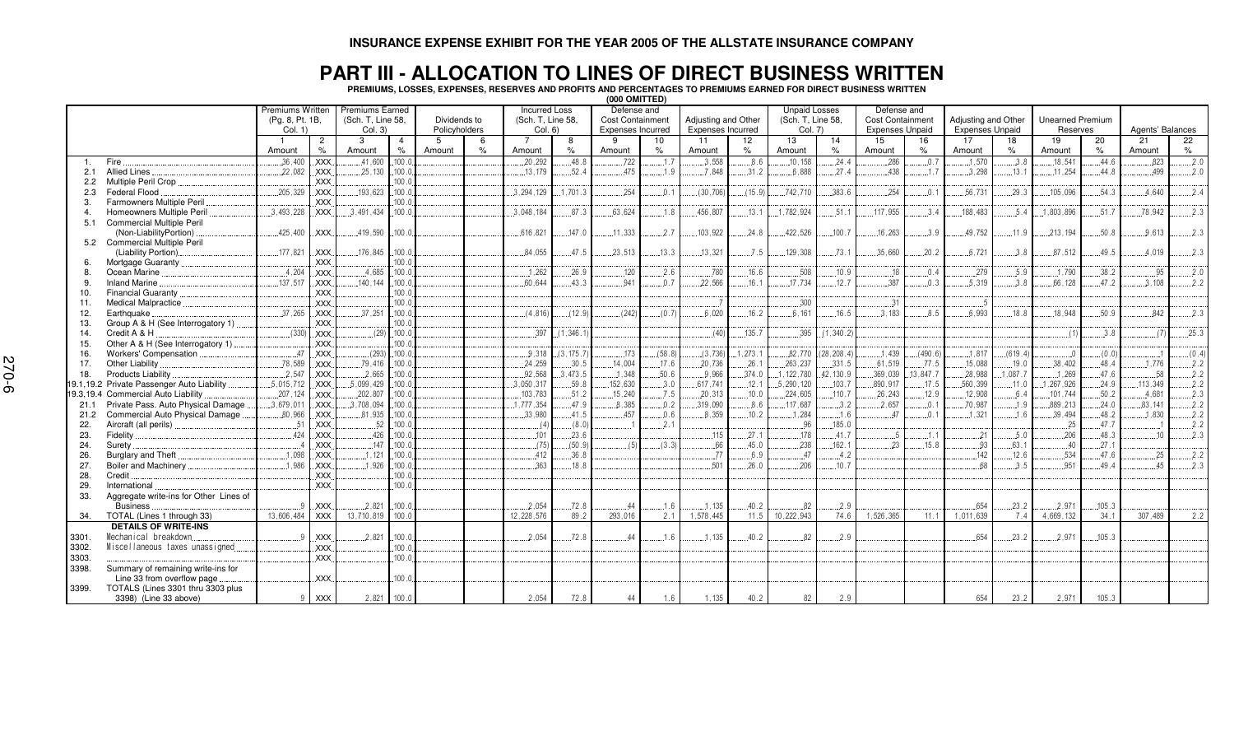#### **PART III - ALLOCATION TO LINES OF DIRECT BUSINESS WRITTEN**

**PREMIUMS, LOSSES, EXPENSES, RESERVES AND PROFITS AND PERCENTAGES TO PREMIUMS EARNED FOR DIRECT BUSINESS WRITTEN**

|       |                                            |                  |                |                        |                |               |      |                      |            | (000 OMITTED)            |        |                     |          |                      |             |                         |                 |                        |         |                         |           |                  |       |
|-------|--------------------------------------------|------------------|----------------|------------------------|----------------|---------------|------|----------------------|------------|--------------------------|--------|---------------------|----------|----------------------|-------------|-------------------------|-----------------|------------------------|---------|-------------------------|-----------|------------------|-------|
|       |                                            | Premiums Written |                | <b>Premiums Earned</b> |                |               |      | <b>Incurred Loss</b> |            | Defense and              |        |                     |          | <b>Unpaid Losses</b> |             | Defense and             |                 |                        |         |                         |           |                  |       |
|       |                                            | (Pq. 8, Pt. 1B,  |                | (Sch. T. Line 58.      |                | Dividends to  |      | (Sch. T. Line 58.    |            | Cost Containment         |        | Adjusting and Other |          | (Sch. T. Line 58.    |             | <b>Cost Containment</b> |                 | Adjusting and Other    |         | <b>Unearned Premium</b> |           |                  |       |
|       |                                            | Col. 1)          |                | Col. 3)                |                | Policyholders |      | Col. 6)              |            | <b>Expenses Incurred</b> |        | Expenses Incurred   |          | Col. 7)              |             | <b>Expenses Unpaid</b>  |                 | <b>Expenses Unpaid</b> |         | Reserves                |           | Agents' Balances |       |
|       |                                            |                  | $\overline{c}$ | 3                      | $\overline{4}$ | 5             | 6    |                      | 8          | - 9                      | 10     | 11                  | 12       | 13                   | 14          | 15                      | 16              | 17                     | 18      | 19                      | 20        | 21               | 22    |
|       |                                            | Amount           | $\%$           | Amount                 | $\%$           | Amount        | $\%$ | Amount               | %          | Amount                   | %      | Amount              | %        | Amount               | $\%$        | Amount                  | $\%$            | Amount                 | %       | Amount                  | $\%$      | Amount           | $\%$  |
| 1.    | Fire                                       | .36,400          | <b>XXX</b>     | .41,60                 | .100.0         |               |      | 20,292               | .48.8      | .722                     | .1.7   | 3.558               | .8.6     | .10, 158             | .24.4       | 286                     | .0.7            | .1,570                 | .3.8    | .18,541                 | .44.6     | .823             | .2.0  |
| 2.1   | <b>Allied Lines</b>                        | .22,082          | .XXX.          | .25,130                | .100.0         |               |      | 13, 179              | .52.4      | 475                      | .1.9   | .7.848              | .31.2    | 6.888                | .27.4       | .438                    | 1.7             | .3,298                 | .13.1   | 11,254                  | .44.8     | 499              | .2.0  |
|       | Multiple Peril Crop                        |                  | XXX.           |                        | .100.0         |               |      |                      |            |                          |        |                     |          |                      |             |                         |                 |                        |         |                         |           |                  |       |
| 2.3   | Federal Flood                              | .205, 329        | <b>XXX</b>     | .193.623               | .100.0         |               |      | .3.294.129           | .701.3     | .254                     | .0.1   | (30, 706)           | (15.9)   | .742,710             | .383.6      | .254                    | $\theta$ .      | .56,731                | .29.3   | .105,096                | .54.3     | 4.640            | .2.4  |
| 3.    | Farmowners Multiple Peril                  |                  | XXX.           |                        | 100.0          |               |      |                      |            |                          |        |                     |          |                      |             |                         |                 |                        |         |                         |           |                  |       |
| 4.    | Homeowners Multiple Peril                  | .3,493,228       | <b>XXX</b>     | .3.491.434             | .100.0         |               |      | .3.048.184           | .87.3      | .63.624                  | 1.8    | .456.807            | .13.1    | 1,782,924            | .51.1       | .117,955                | 3.4             | 188,483                | .5.4    | .1,803,896              | 51.7      | 78.942           | .2.3  |
| 5.1   | <b>Commercial Multiple Peril</b>           |                  |                |                        |                |               |      |                      |            |                          |        |                     |          |                      |             |                         |                 |                        |         |                         |           |                  |       |
|       | (Non-LiabilityPortion)                     | .425,400         | <b>XXX</b>     | .419,590               | .100.0         |               |      | .616,821             | .147.0     | .11,333                  | .2.7   | .103,922            | 24.8     | .422,526             | .100.7      | .16, 263                | 3.9             | .49,752                | .11.9   | .213,194                | .50.8     | .9.613           | .2.3  |
|       | 5.2 Commercial Multiple Peril              |                  |                |                        |                |               |      |                      |            |                          |        |                     |          |                      |             |                         |                 |                        |         |                         |           |                  |       |
|       | (Liability Portion).                       | .177,821         | XXX.           | .176, 845              | .100.          |               |      | .84.055              | 47.5       | .23,513                  | .13.3  | .13.321             | .7.5     | 129,308              | 73.1        | .35,660                 | .20.2           | .6.721                 | 3.8     | 87,512                  | 49.5      | 4.019            | .2.3  |
|       | Mortgage Guaranty                          |                  | XXX.           |                        | .100.0         |               |      |                      |            |                          |        |                     |          |                      |             |                         |                 |                        |         |                         |           |                  |       |
| 8.    | Ocean Marine                               | .4,204           | <b>XXX</b>     | .4.685                 | .100.0         |               |      | .1.262               | .26.9      | .120                     | .2.6   | 780                 | 16.6     | .508                 | .10.9       | .18                     | .0.4            | .279                   | .5.9    | 1.790                   | 38.2      | .95              | 2.0   |
| 9.    | <b>Inland Marine</b>                       | .137,517         | <b>XXX</b>     | .140.14                | .100.0         |               |      | .60.644              | 43.3       | 941                      | 0.7    | .22,566             | 16.1     | 17.734               | 12.7        | 387                     | 0.3             | 5.319                  | 3.8     | .66.128                 | 47.2      | 3.108            | .2.2  |
| 10.   | <b>Financial Guaranty</b>                  |                  | <b>XXX</b>     |                        | .100.0         |               |      |                      |            |                          |        |                     |          |                      |             |                         |                 |                        |         |                         |           |                  |       |
| 11.   | <b>Medical Malpractice</b>                 |                  | .XXX.          |                        | .100.          |               |      |                      |            |                          |        |                     |          | .300                 |             | 3'                      |                 | -5                     |         |                         |           |                  |       |
| 12.   | Earthquake.                                | .37,265          | <b>XXX</b>     | .37,251                | .100.0         |               |      | (4, 816)             | (12.9)     | (242)                    | (0.7)  | .6.020              | 16.2     | .6.161               | 16.5        | .3.183                  | 85              | .6.993                 | .18.8   | .18.948                 | 50.9      | 842              | .2.3  |
| 13.   | Group A & H (See Interrogatory 1)          |                  | XXX.           |                        | .100.0         |               |      |                      |            |                          |        |                     |          |                      |             |                         |                 |                        |         |                         |           |                  |       |
| 14.   | Credit A & H                               | (330)            | .XXX           |                        | $(29)$ . 100.  |               |      | .397                 | (1, 346.1) |                          |        | (40)                | .135.7   | .395                 | (1, 340.2)  |                         |                 |                        |         |                         | 3.8       | (7)              | .25.3 |
| 15.   | Other A & H (See Interrogatory 1)          |                  | XXX.           |                        | .100.0         |               |      |                      |            |                          |        |                     |          |                      |             |                         |                 |                        |         |                         |           |                  |       |
| 16.   | Workers' Compensation                      | 47               | .XXX           |                        | $(293)$ . 100. |               |      | .9.318               | (3, 175.7) | 173                      | (58.8) | (3,736)             | .1,273.1 | .82,770              | (28, 208.4) | .1.439                  | (490.6)         | .1,817                 | (619.4) |                         | $(0.0)$ . |                  | (0.4) |
| 17.   | Other Liability                            | .78,589          | <b>XXX</b>     | .79.416                | .100.0         |               |      | .24,259              | .30.5      | .14,004                  | .17.6  | .20,736             | .26.1    | .263,237             | 331.5       | .61.519                 | .77.5           | .15,088                | .19.0   | .38,402                 | 48.4      | 1.776            | 2.2   |
| 18.   | Products Liability                         | .2,547           | <b>XXX</b>     | .2,665                 | .100.0         |               |      | .92.568              | 3,473.5    | .1,348                   | .50.6  | .9.966              | .374.0   | 1, 122, 780          | .42, 130.9  | .369,039                | .13.847.7       | .28,988                | .087.7  | .1,269                  | .47.6     | .58              | .2.2  |
|       | 19.1,19.2 Private Passenger Auto Liability | .5,015,712       | <b>XXX</b>     | 5.099.429              | .100.0         |               |      | 3,050,317            | .59.8      | .152,630                 | .3.0   | .617,741            | .12.1    | .5, 290, 120         | .103.7      | .890.917                | .17.5           | .560,399               | .11.0   | .1,267,926              | 24.9      | 113,349          | .2.2  |
|       | 19.3,19.4 Commercial Auto Liability        | .207,124         | .XXX.          | .202, 807              | .100.0         |               |      | .103,783             | .51.2      | .15.240                  | .7.5   | .20.313             | .10.0    | .224,605             | .110.7      | .26,243                 | .12.9           | .12,908                | .6.4    | .101,744                | .50.2     | 4.681            | .2.3  |
| 21.1  | Private Pass. Auto Physical Damage         | .3,679,011       | .XXX.          | .3.708.094             | .100.0         |               |      | .1,777,354           | 47.9       | .8.385                   | .0.2   | .319,090            | 8.6      | .117,687             | 3.2         | .2.657                  | .0.             | .70,987                | 1.9     | .889,213                | 24.0      | 83.141           | .2.2  |
| 21.2  | Commercial Auto Physical Damage            | .80,966          | .XXX.          | .81,935                | .100.0         |               |      | .33,980              | .41.5      | 457                      | 0.6    | 8.359               | 10.2     | 1,284                | .1.6        | 47                      | 0.1             | .1,321                 | 1.6     | 39,494                  | .48.2     | 1.830            | .2.2  |
| 22.   | Aircraft (all perils).                     | .51              | .XXX.          | 52                     | .100.0         |               |      | (4)                  | (8.0)      |                          | .2.1   |                     |          | .96                  | .185.0      |                         |                 |                        |         | .25                     | 47.7      |                  | .2.2  |
| 23.   | Fidelity                                   | .424             | .XXX.          | .426                   | .100.0         |               |      | .101                 | .23.6      |                          |        | .115                | .27.1    | .178                 | .41.7       |                         | $\mathcal{A}$ . | .21                    | .5.0    | .206                    | .48.3     | .10              | .2.3  |
| 24.   | Surety.                                    |                  | XXX.           | 147                    | .100.0         |               |      | (75)                 | (50.9)     | (5)                      | (3.3)  | .66                 | .45.0    | .238                 | .162.1      | .23                     | .15.8           | .93                    | .63.1   | .40                     | .27.1     |                  |       |
| 26.   | Burglary and Theft                         | .1.098           | .XXX.          | .1.121                 | .100.0         |               |      | .412                 | .36.8      |                          |        | 77                  | 6.9      | .47                  | .4.2        |                         |                 | .142                   | .12.6   | .534                    | .47.6     | .25              | .2.2  |
| 27.   | Boiler and Machinery                       | .1.986           | XXX.           | .1.926                 | .100.0         |               |      | .363                 | .18.8      |                          |        | .501                | .26.0    | 206                  | .10.7       |                         |                 | 68.                    | 3.5     | .951                    | .49.4     | 45               | .2.3  |
| 28.   | Credit                                     |                  | <b>XXX</b>     |                        | .100.0         |               |      |                      |            |                          |        |                     |          |                      |             |                         |                 |                        |         |                         |           |                  |       |
| 29.   | International                              |                  | <b>XXX</b>     |                        | .100.          |               |      |                      |            |                          |        |                     |          |                      |             |                         |                 |                        |         |                         |           |                  |       |
| 33.   | Aggregate write-ins for Other Lines of     |                  |                |                        |                |               |      |                      |            |                          |        |                     |          |                      |             |                         |                 |                        |         |                         |           |                  |       |
|       | <b>Business</b>                            |                  | .XXX.          | .2.82                  | .100.          |               |      | .2.054               | .72.8      | .44                      | .1.6   | .1,135              | 40.2     | .82                  | .2.9        |                         |                 | .654                   | .23.2   | .2,971                  | .105.3    |                  |       |
| 34.   | TOTAL (Lines 1 through 33)                 | 13.606.484       | <b>XXX</b>     | 13.710.819             | 100.0          |               |      | 12.228.576           | 89.2       | 293.016                  | 2.1    | 1.578.445           | 11.5     | 10.222.943           | 74.6        | 1.526.365               | 11.1            | 1.011.639              | 74      | 4.669.132               | 34.1      | 307.489          | 2.2   |
|       | <b>DETAILS OF WRITE-INS</b>                |                  |                |                        |                |               |      |                      |            |                          |        |                     |          |                      |             |                         |                 |                        |         |                         |           |                  |       |
| 3301. | Mechanical breakdown.                      |                  | .XXX.          | 2.821                  | .100.0         |               |      | 2.054                | 72.8       | 44                       | 1.6    | .1.135              | 40.2     | .82                  | 2.9         |                         |                 | 654                    | 23.2    | .2.971                  | 105.3     |                  |       |
| 3302. | Miscellaneous taxes unassigned             |                  | XXX.           |                        | .100.0         |               |      |                      |            |                          |        |                     |          |                      |             |                         |                 |                        |         |                         |           |                  |       |
| 3303. |                                            |                  | <b>XXX</b>     |                        | .100.0         |               |      |                      |            |                          |        |                     |          |                      |             |                         |                 |                        |         |                         |           |                  |       |
| 3398. | Summary of remaining write-ins for         |                  |                |                        |                |               |      |                      |            |                          |        |                     |          |                      |             |                         |                 |                        |         |                         |           |                  |       |
|       | Line 33 from overflow page                 |                  | <b>XXX</b>     |                        | .100.0         |               |      |                      |            |                          |        |                     |          |                      |             |                         |                 |                        |         |                         |           |                  |       |
| 3399. | TOTALS (Lines 3301 thru 3303 plus          |                  |                |                        |                |               |      |                      |            |                          |        |                     |          |                      |             |                         |                 |                        |         |                         |           |                  |       |
|       |                                            |                  |                |                        |                |               |      |                      | 72.8       |                          |        |                     |          | 82                   | 2.9         |                         |                 |                        | 23.2    |                         |           |                  |       |
|       | 3398) (Line 33 above)                      |                  | 9 XXX          | $2,821$ 100.0          |                |               |      | 2,054                |            | 44                       | 1.6    | 1,135               | 40.2     |                      |             |                         |                 | 654                    |         | 2,971                   | 105.3     |                  |       |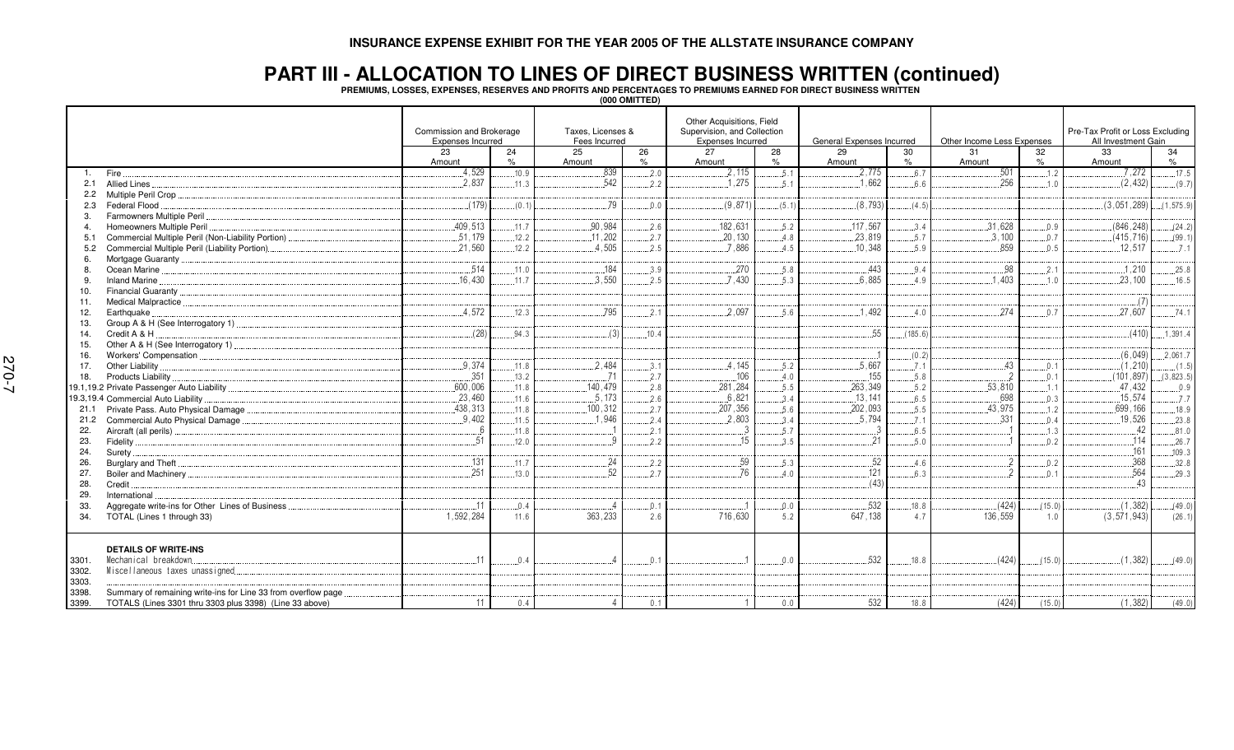#### **PART III - ALLOCATION TO LINES OF DIRECT BUSINESS WRITTEN (continued)**

**PREMIUMS, LOSSES, EXPENSES, RESERVES AND PROFITS AND PERCENTAGES TO PREMIUMS EARNED FOR DIRECT BUSINESS WRITTEN**

| (000 OMITTED) |  |
|---------------|--|
|---------------|--|

|                         |                                                                                                                          | Commission and Brokerage<br>Expenses Incurred |       | Taxes. Licenses &<br>Fees Incurred |      | Other Acquisitions, Field<br>Supervision, and Collection<br>Expenses Incurred |         | General Expenses Incurred |         |                | Other Income Less Expenses |               | Pre-Tax Profit or Loss Excluding<br>All Investment Gain |
|-------------------------|--------------------------------------------------------------------------------------------------------------------------|-----------------------------------------------|-------|------------------------------------|------|-------------------------------------------------------------------------------|---------|---------------------------|---------|----------------|----------------------------|---------------|---------------------------------------------------------|
|                         |                                                                                                                          | 23                                            | 24    | 25                                 | 26   | 27                                                                            | 28      | 29                        | 30      | 31             | 32                         | 33            | 34                                                      |
|                         |                                                                                                                          | Amount                                        | $\%$  | Amount                             | $\%$ | Amount                                                                        | $\%$    | Amount                    | $\%$    | Amount         | $\%$                       | Amount        | $\%$                                                    |
| 1.                      | <b>Fire</b>                                                                                                              | .4.529                                        | .10.9 | 839                                | .2.0 | 2.115                                                                         | .5.1    | 2,775                     | .6.7    | 501            | .1.2                       | 7,272         | .17.5                                                   |
| 2.1                     | Allied Lines.                                                                                                            | 2.837                                         | .11.3 | .542                               | 2.2  | .1.275                                                                        | 5.1     | 1.662                     | 6.6     | .256           | .1.0                       | (2, 432)      | (9.7)                                                   |
| $2.2^{\circ}$           |                                                                                                                          |                                               |       |                                    |      |                                                                               |         |                           |         |                |                            |               |                                                         |
| 2.3                     | Federal Flood                                                                                                            | (179)                                         | (0.1) | 79                                 | 0.0  | (9,871)                                                                       | (5.1)   | (8, 793)                  | (4.5)   |                |                            | (3,051,289)   | (1, 575.9)                                              |
| 3.                      | Farmowners Multiple Peril                                                                                                |                                               |       |                                    |      |                                                                               |         |                           |         |                |                            |               |                                                         |
| $\overline{4}$          | Homeowners Multiple Peril                                                                                                | .409,513                                      | .11.7 | .90,984                            | .2.6 | 182,631                                                                       | .5.2    | .117,567                  | .3.4    | .31,628        | .0.9                       | (846, 248)    | (24.2)                                                  |
| 5.1                     | Commercial Multiple Peril (Non-Liability Portion)                                                                        | 51,179                                        | .12.2 | .11.202                            | .2.7 | .20,130                                                                       | 4.8     | .23,819                   | .5.7    | .3.100         | 0.7                        | (415, 716)    | (99.1)                                                  |
| 5.2                     | Commercial Multiple Peril (Liability Portion)                                                                            | .21.560                                       | .12.2 | 4.505                              | 2.5  | .7.886                                                                        | 4.5     | .10.348                   | 5.9     | 859            | 0.5                        | .12.517       | .7.1                                                    |
| 6.                      |                                                                                                                          |                                               |       |                                    |      |                                                                               |         |                           |         |                |                            |               |                                                         |
| 8.                      |                                                                                                                          | .514                                          | .11.0 | .184                               | .3.9 | .270                                                                          | .5.8    | .443                      | .9.4    | .98            | 2.1                        | .1,210        | .25.8                                                   |
| 9.                      | <b>Inland Marine</b>                                                                                                     | 16.430                                        | 11.7  | .3.550                             | 2.5  | 7.430                                                                         | 5.3     | 6.885                     | 4.9     | .403           | 1.0                        | .23.100       | .16.5                                                   |
| 10.                     |                                                                                                                          |                                               |       |                                    |      |                                                                               |         |                           |         |                |                            |               |                                                         |
| 11.                     |                                                                                                                          |                                               |       |                                    |      |                                                                               |         |                           |         |                |                            | (7)           |                                                         |
| 12.                     | Earthquake.                                                                                                              | .4,572                                        | .12.3 | .795                               | .2.1 | .2.097                                                                        | .5.6    | 1,492                     | .4.0    | .274           | 0.7                        | .27,607       | .74.1                                                   |
| 13.                     |                                                                                                                          |                                               |       |                                    |      |                                                                               |         |                           |         |                |                            |               |                                                         |
| 14.                     | Credit A & H                                                                                                             | (28)                                          | 94.3  | (3)                                | 10.4 |                                                                               |         | 55                        | (185.6) |                |                            | (410)         | .1.391.4                                                |
| 15.                     |                                                                                                                          |                                               |       |                                    |      |                                                                               |         |                           |         |                |                            |               |                                                         |
| 16.                     |                                                                                                                          |                                               |       |                                    |      |                                                                               |         |                           | (0.2)   |                |                            | (6,049)       | .2.061.7                                                |
| 17.                     | Other Liability                                                                                                          | 9,374                                         | 11.8  | .2,484                             | 3.1  | .4,145                                                                        | 5.2     | .5,667                    | .7.1    | .43            | 0.1                        | (1, 210)      | (1.5)                                                   |
| 18.                     |                                                                                                                          | .351                                          | .13.2 |                                    | 2.7  | .106                                                                          | 4.0     | .155                      | .5.8    |                | .0.1                       | (101, 897)    | (3,823.5)                                               |
|                         |                                                                                                                          | .600,006                                      | .11.8 | .140.479                           | 2.8  | 281.284                                                                       | .5.5    | .263,349                  | .5.2    | .53.810        | 1.1                        | .47.432       | 0.9                                                     |
|                         | 19.3,19.4 Commercial Auto Liability                                                                                      | .23,460                                       | .11.6 | .5,173                             | .2.6 | .6,821                                                                        | 3.4     | .13,141                   | .6.5    | .698           | .0.3                       | .15,574       | .7.7                                                    |
| 21.1                    | Private Pass. Auto Physical Damage                                                                                       | 438,313                                       | .11.8 | 100,312                            | .2.7 | .207,356                                                                      | .5.6    | .202,093                  | .5.5    | .43,975        | .1.2                       | .699, 166     | .18.9                                                   |
| 21.2                    | Commercial Auto Physical Damage                                                                                          | .9,402                                        | .11.5 | 1.946                              | 2.4  | .2,803                                                                        | .3.4    | .5,794                    | .7.1    | 331            | 0.4                        | .19,526       | .23.8                                                   |
| 22.                     |                                                                                                                          | 6                                             | .11.8 |                                    | .2.1 | $\cdot$ 3                                                                     | 5.7     | 3                         | .6.5    |                | 1.3                        | 42            | .81.0                                                   |
| 23.                     |                                                                                                                          | 51                                            | .12.0 |                                    | 2.2  | 15                                                                            | 3.5     | 21                        | .5.0    |                | 0.2                        | 114           | .26.7                                                   |
| 24.                     | Surety.                                                                                                                  |                                               |       |                                    |      |                                                                               |         |                           |         |                |                            | .161          | .109.3                                                  |
| 26.                     |                                                                                                                          | .131                                          | .11.7 | .24                                | .2.2 | .59                                                                           | .5.3    | .52                       | .4.6    | $\overline{2}$ | 0.2                        | 368           | .32.8                                                   |
| 27.                     |                                                                                                                          | 251                                           | .13.0 | 52                                 | 2.7  | 76                                                                            | 4.0     | 121                       | 6.3     | $\mathfrak{D}$ | 0.1                        | 564           | .29.3                                                   |
| 28.                     | Credit                                                                                                                   |                                               |       |                                    |      |                                                                               |         | (43)                      |         |                |                            | 43            |                                                         |
| 29.                     | International                                                                                                            |                                               |       |                                    |      |                                                                               |         |                           |         |                |                            |               |                                                         |
| 33.                     | Aggregate write-ins for Other Lines of Business                                                                          | .11                                           | .0.4  |                                    | 0.1  |                                                                               | $0.0$ . | 532                       | .18.8   | (424)          | (15.0)                     | (1, 382)      | (49.0)                                                  |
| 34.                     | TOTAL (Lines 1 through 33)                                                                                               | 1,592,284                                     | 11.6  | 363,233                            | 2.6  | 716,630                                                                       | 5.2     | 647, 138                  | 4.7     | 136,559        | 1.0                        | (3, 571, 943) | (26.1)                                                  |
| 3301.<br>3302.          | <b>DETAILS OF WRITE-INS</b><br>Mechanical breakdown.<br>Miscellaneous taxes unassigned                                   | 11                                            | 0.4   |                                    | .0.1 | $\overline{1}$                                                                | 0.0     | 532                       | .18.8   | (424)          | (15.0)                     | (1, 382)      | $(49.0)$                                                |
| 3303.<br>3398.<br>3399. | Summary of remaining write-ins for Line 33 from overflow page<br>TOTALS (Lines 3301 thru 3303 plus 3398) (Line 33 above) | 11                                            | 0.4   |                                    | 0.1  |                                                                               | 0.0     | 532                       | 18.8    | (424)          | (15.0)                     | (1, 382)      | (49.0)                                                  |